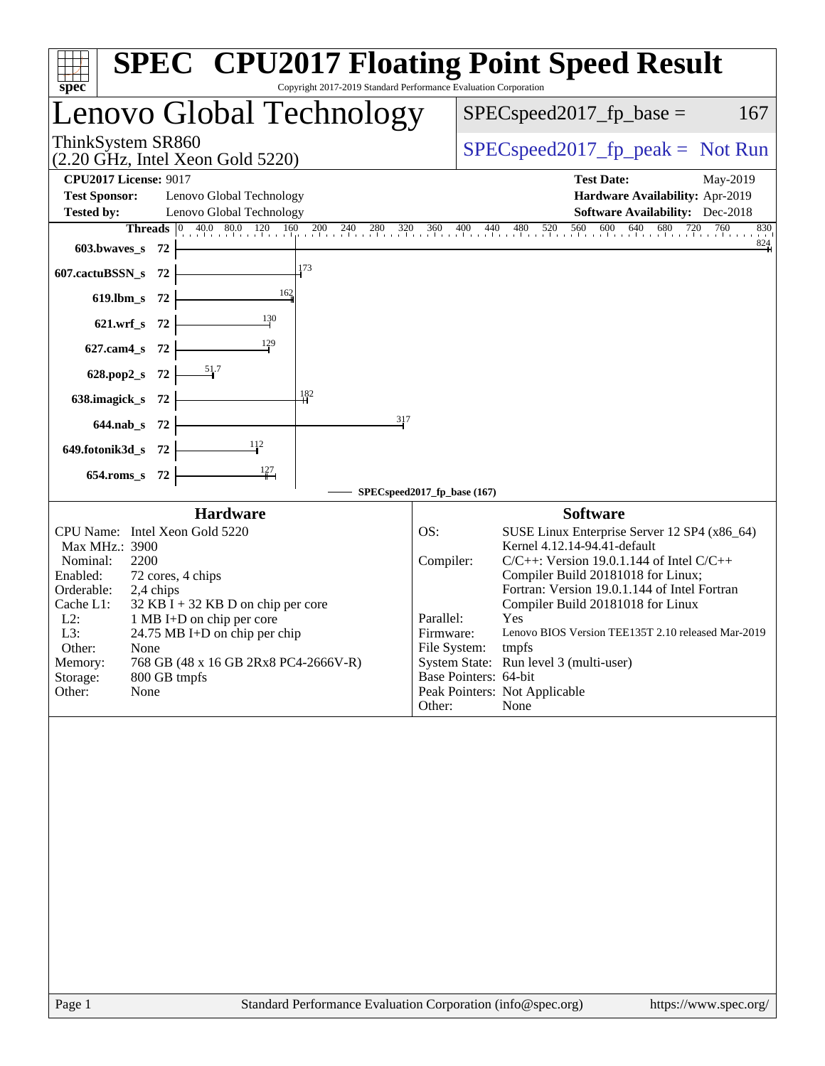| Copyright 2017-2019 Standard Performance Evaluation Corporation<br>$spec^*$                                                                                                                                                                                                                                                                                                             | <b>SPEC<sup>®</sup> CPU2017 Floating Point Speed Result</b>                                                                                                                                                                                                                                                                                                                                                                                                                                                     |
|-----------------------------------------------------------------------------------------------------------------------------------------------------------------------------------------------------------------------------------------------------------------------------------------------------------------------------------------------------------------------------------------|-----------------------------------------------------------------------------------------------------------------------------------------------------------------------------------------------------------------------------------------------------------------------------------------------------------------------------------------------------------------------------------------------------------------------------------------------------------------------------------------------------------------|
| Lenovo Global Technology                                                                                                                                                                                                                                                                                                                                                                | $SPEC speed2017_fp\_base =$<br>167                                                                                                                                                                                                                                                                                                                                                                                                                                                                              |
| ThinkSystem SR860<br>$(2.20 \text{ GHz}, \text{Intel Xeon Gold } 5220)$                                                                                                                                                                                                                                                                                                                 | $SPEC speed2017_fp\_peak = Not Run$                                                                                                                                                                                                                                                                                                                                                                                                                                                                             |
| <b>CPU2017 License: 9017</b>                                                                                                                                                                                                                                                                                                                                                            | <b>Test Date:</b><br>May-2019                                                                                                                                                                                                                                                                                                                                                                                                                                                                                   |
| <b>Test Sponsor:</b><br>Lenovo Global Technology                                                                                                                                                                                                                                                                                                                                        | Hardware Availability: Apr-2019                                                                                                                                                                                                                                                                                                                                                                                                                                                                                 |
| <b>Tested by:</b><br>Lenovo Global Technology                                                                                                                                                                                                                                                                                                                                           | <b>Software Availability:</b> Dec-2018                                                                                                                                                                                                                                                                                                                                                                                                                                                                          |
|                                                                                                                                                                                                                                                                                                                                                                                         | <b>Threads</b> 0 40.0 80.0 120 160 200 240 280 320 360 400 440 480 520 560 600 640 680 720 760 830<br>830                                                                                                                                                                                                                                                                                                                                                                                                       |
| 603.bwaves_s 72                                                                                                                                                                                                                                                                                                                                                                         | $\frac{824}{4}$                                                                                                                                                                                                                                                                                                                                                                                                                                                                                                 |
| 173<br>607.cactuBSSN_s 72                                                                                                                                                                                                                                                                                                                                                               |                                                                                                                                                                                                                                                                                                                                                                                                                                                                                                                 |
| 619.lbm_s $72$                                                                                                                                                                                                                                                                                                                                                                          |                                                                                                                                                                                                                                                                                                                                                                                                                                                                                                                 |
| $621.wrf_s$ 72                                                                                                                                                                                                                                                                                                                                                                          |                                                                                                                                                                                                                                                                                                                                                                                                                                                                                                                 |
| $627$ .cam $4$ <sub>_</sub> s $72$ $\overline{\qquad}$                                                                                                                                                                                                                                                                                                                                  |                                                                                                                                                                                                                                                                                                                                                                                                                                                                                                                 |
| 628.pop2_s 72 $\frac{51}{7}$                                                                                                                                                                                                                                                                                                                                                            |                                                                                                                                                                                                                                                                                                                                                                                                                                                                                                                 |
| 182<br>638.imagick_s $72$                                                                                                                                                                                                                                                                                                                                                               |                                                                                                                                                                                                                                                                                                                                                                                                                                                                                                                 |
| 317<br>$644.nab_s$ 72                                                                                                                                                                                                                                                                                                                                                                   |                                                                                                                                                                                                                                                                                                                                                                                                                                                                                                                 |
| 649.fotonik3d_s $72$ $\leftarrow$                                                                                                                                                                                                                                                                                                                                                       |                                                                                                                                                                                                                                                                                                                                                                                                                                                                                                                 |
| 654.roms_s 72                                                                                                                                                                                                                                                                                                                                                                           |                                                                                                                                                                                                                                                                                                                                                                                                                                                                                                                 |
|                                                                                                                                                                                                                                                                                                                                                                                         | SPECspeed2017_fp_base (167)                                                                                                                                                                                                                                                                                                                                                                                                                                                                                     |
| <b>Hardware</b>                                                                                                                                                                                                                                                                                                                                                                         | <b>Software</b>                                                                                                                                                                                                                                                                                                                                                                                                                                                                                                 |
| CPU Name: Intel Xeon Gold 5220<br>Max MHz.: 3900<br>Nominal:<br>2200<br>Enabled:<br>72 cores, 4 chips<br>Orderable:<br>2,4 chips<br>Cache L1:<br>$32$ KB I + 32 KB D on chip per core<br>$L2$ :<br>1 MB I+D on chip per core<br>L3:<br>24.75 MB I+D on chip per chip<br>Other:<br>None<br>768 GB (48 x 16 GB 2Rx8 PC4-2666V-R)<br>Memory:<br>Storage:<br>800 GB tmpfs<br>Other:<br>None | OS:<br>SUSE Linux Enterprise Server 12 SP4 (x86_64)<br>Kernel 4.12.14-94.41-default<br>Compiler:<br>$C/C++$ : Version 19.0.1.144 of Intel $C/C++$<br>Compiler Build 20181018 for Linux;<br>Fortran: Version 19.0.1.144 of Intel Fortran<br>Compiler Build 20181018 for Linux<br>Parallel:<br>Yes<br>Lenovo BIOS Version TEE135T 2.10 released Mar-2019<br>Firmware:<br>File System: tmpfs<br>System State: Run level 3 (multi-user)<br>Base Pointers: 64-bit<br>Peak Pointers: Not Applicable<br>Other:<br>None |
|                                                                                                                                                                                                                                                                                                                                                                                         |                                                                                                                                                                                                                                                                                                                                                                                                                                                                                                                 |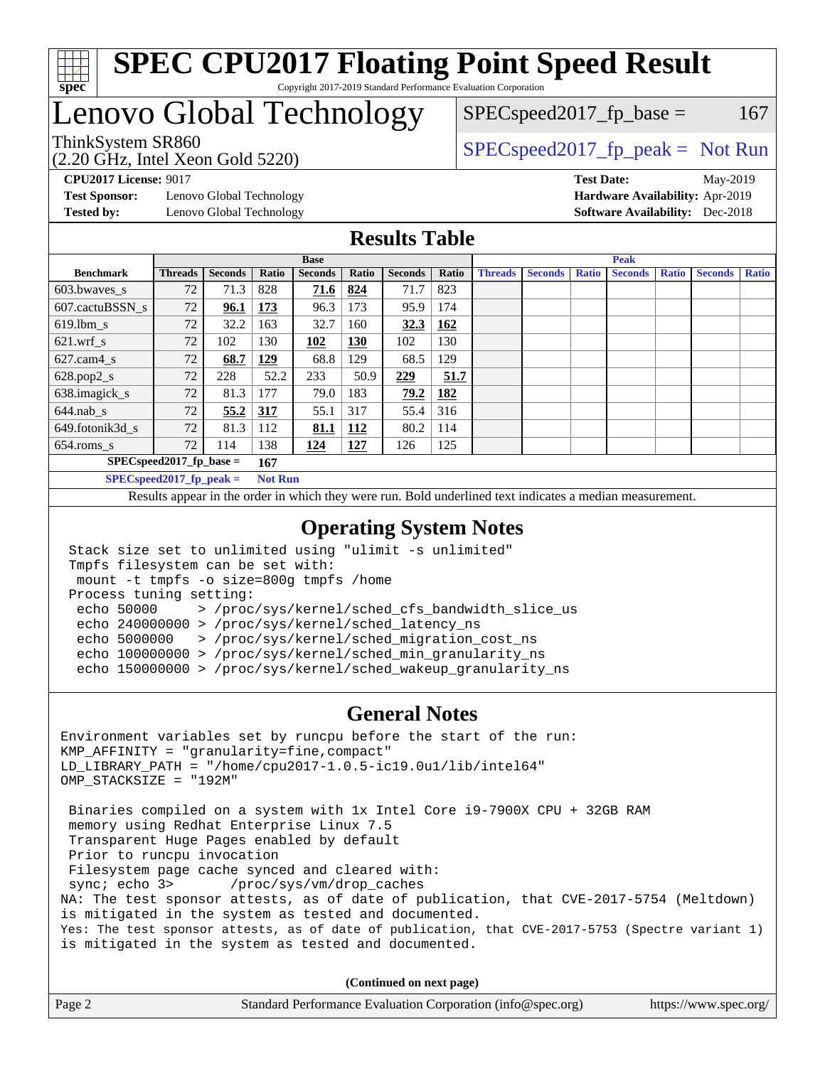

# Lenovo Global Technology

 $SPEC speed2017<sub>fp</sub> base =  $167$$ 

(2.20 GHz, Intel Xeon Gold 5220)

ThinkSystem SR860<br>  $SPEC speed2017<sub>fp</sub> peak = Not Run$ 

**[Test Sponsor:](http://www.spec.org/auto/cpu2017/Docs/result-fields.html#TestSponsor)** Lenovo Global Technology **[Hardware Availability:](http://www.spec.org/auto/cpu2017/Docs/result-fields.html#HardwareAvailability)** Apr-2019 **[Tested by:](http://www.spec.org/auto/cpu2017/Docs/result-fields.html#Testedby)** Lenovo Global Technology **[Software Availability:](http://www.spec.org/auto/cpu2017/Docs/result-fields.html#SoftwareAvailability)** Dec-2018

**[CPU2017 License:](http://www.spec.org/auto/cpu2017/Docs/result-fields.html#CPU2017License)** 9017 **[Test Date:](http://www.spec.org/auto/cpu2017/Docs/result-fields.html#TestDate)** May-2019

## **[Results Table](http://www.spec.org/auto/cpu2017/Docs/result-fields.html#ResultsTable)**

|                             |                            |                |                | <b>Base</b>    |            |                |       |                |                |              | <b>Peak</b>    |              |                |              |
|-----------------------------|----------------------------|----------------|----------------|----------------|------------|----------------|-------|----------------|----------------|--------------|----------------|--------------|----------------|--------------|
| <b>Benchmark</b>            | <b>Threads</b>             | <b>Seconds</b> | Ratio          | <b>Seconds</b> | Ratio      | <b>Seconds</b> | Ratio | <b>Threads</b> | <b>Seconds</b> | <b>Ratio</b> | <b>Seconds</b> | <b>Ratio</b> | <b>Seconds</b> | <b>Ratio</b> |
| 603.bwayes s                | 72                         | 71.3           | 828            | 71.6           | 824        | 71.7           | 823   |                |                |              |                |              |                |              |
| 607.cactuBSSN s             | 72                         | 96.1           | 173            | 96.3           | 173        | 95.9           | 174   |                |                |              |                |              |                |              |
| $619.1$ bm s                | 72                         | 32.2           | 163            | 32.7           | 160        | 32.3           | 162   |                |                |              |                |              |                |              |
| $621$ .wrf s                | 72                         | 102            | 130            | 102            | 130        | 102            | 130   |                |                |              |                |              |                |              |
| $627$ .cam $4$ <sub>s</sub> | 72                         | 68.7           | <u>129</u>     | 68.8           | 129        | 68.5           | 129   |                |                |              |                |              |                |              |
| $628.pop2_s$                | 72                         | 228            | 52.2           | 233            | 50.9       | 229            | 51.7  |                |                |              |                |              |                |              |
| 638.imagick_s               | 72                         | 81.3           | 177            | 79.0           | 183        | 79.2           | 182   |                |                |              |                |              |                |              |
| $644$ .nab s                | 72                         | 55.2           | <u>317</u>     | 55.1           | 317        | 55.4           | 316   |                |                |              |                |              |                |              |
| 649.fotonik3d s             | 72                         | 81.3           | 112            | 81.1           | 112        | 80.2           | 114   |                |                |              |                |              |                |              |
| $654$ .roms s               | 72                         | 114            | 138            | 124            | <u>127</u> | 126            | 125   |                |                |              |                |              |                |              |
|                             | $SPEC speed2017$ fp base = |                | 167            |                |            |                |       |                |                |              |                |              |                |              |
| $SPEC speed2017_fp_peak =$  |                            |                | <b>Not Run</b> |                |            |                |       |                |                |              |                |              |                |              |

Results appear in the [order in which they were run.](http://www.spec.org/auto/cpu2017/Docs/result-fields.html#RunOrder) Bold underlined text [indicates a median measurement](http://www.spec.org/auto/cpu2017/Docs/result-fields.html#Median).

## **[Operating System Notes](http://www.spec.org/auto/cpu2017/Docs/result-fields.html#OperatingSystemNotes)**

```
 Stack size set to unlimited using "ulimit -s unlimited"
Tmpfs filesystem can be set with:
mount -t tmpfs -o size=800g tmpfs /home
Process tuning setting:
 echo 50000 > /proc/sys/kernel/sched_cfs_bandwidth_slice_us
 echo 240000000 > /proc/sys/kernel/sched_latency_ns
 echo 5000000 > /proc/sys/kernel/sched_migration_cost_ns
 echo 100000000 > /proc/sys/kernel/sched_min_granularity_ns
 echo 150000000 > /proc/sys/kernel/sched_wakeup_granularity_ns
```
#### **[General Notes](http://www.spec.org/auto/cpu2017/Docs/result-fields.html#GeneralNotes)**

Environment variables set by runcpu before the start of the run: KMP\_AFFINITY = "granularity=fine,compact" LD\_LIBRARY\_PATH = "/home/cpu2017-1.0.5-ic19.0u1/lib/intel64" OMP\_STACKSIZE = "192M" Binaries compiled on a system with 1x Intel Core i9-7900X CPU + 32GB RAM memory using Redhat Enterprise Linux 7.5 Transparent Huge Pages enabled by default Prior to runcpu invocation Filesystem page cache synced and cleared with: sync; echo 3> /proc/sys/vm/drop\_caches NA: The test sponsor attests, as of date of publication, that CVE-2017-5754 (Meltdown) is mitigated in the system as tested and documented. Yes: The test sponsor attests, as of date of publication, that CVE-2017-5753 (Spectre variant 1) is mitigated in the system as tested and documented.

**(Continued on next page)**

| Page 2<br>Standard Performance Evaluation Corporation (info@spec.org)<br>https://www.spec.org/ |
|------------------------------------------------------------------------------------------------|
|------------------------------------------------------------------------------------------------|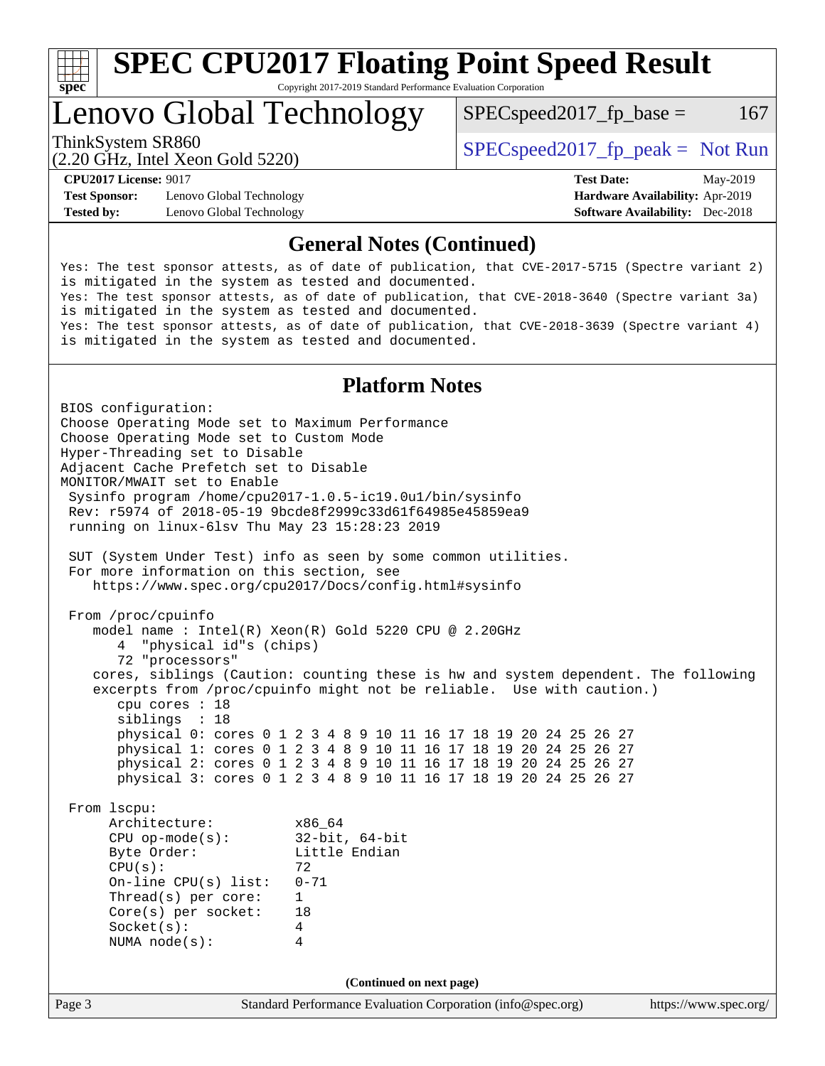

Lenovo Global Technology

 $SPEC speed2017<sub>fp</sub> base =  $167$$ 

(2.20 GHz, Intel Xeon Gold 5220)

ThinkSystem SR860<br>  $SPEC speed2017<sub>rfp</sub> peak = Not Run$ 

**[Test Sponsor:](http://www.spec.org/auto/cpu2017/Docs/result-fields.html#TestSponsor)** Lenovo Global Technology **[Hardware Availability:](http://www.spec.org/auto/cpu2017/Docs/result-fields.html#HardwareAvailability)** Apr-2019 **[Tested by:](http://www.spec.org/auto/cpu2017/Docs/result-fields.html#Testedby)** Lenovo Global Technology **[Software Availability:](http://www.spec.org/auto/cpu2017/Docs/result-fields.html#SoftwareAvailability)** Dec-2018

**[CPU2017 License:](http://www.spec.org/auto/cpu2017/Docs/result-fields.html#CPU2017License)** 9017 **[Test Date:](http://www.spec.org/auto/cpu2017/Docs/result-fields.html#TestDate)** May-2019

## **[General Notes \(Continued\)](http://www.spec.org/auto/cpu2017/Docs/result-fields.html#GeneralNotes)**

Yes: The test sponsor attests, as of date of publication, that CVE-2017-5715 (Spectre variant 2) is mitigated in the system as tested and documented. Yes: The test sponsor attests, as of date of publication, that CVE-2018-3640 (Spectre variant 3a) is mitigated in the system as tested and documented. Yes: The test sponsor attests, as of date of publication, that CVE-2018-3639 (Spectre variant 4) is mitigated in the system as tested and documented.

## **[Platform Notes](http://www.spec.org/auto/cpu2017/Docs/result-fields.html#PlatformNotes)**

Page 3 Standard Performance Evaluation Corporation [\(info@spec.org\)](mailto:info@spec.org) <https://www.spec.org/> BIOS configuration: Choose Operating Mode set to Maximum Performance Choose Operating Mode set to Custom Mode Hyper-Threading set to Disable Adjacent Cache Prefetch set to Disable MONITOR/MWAIT set to Enable Sysinfo program /home/cpu2017-1.0.5-ic19.0u1/bin/sysinfo Rev: r5974 of 2018-05-19 9bcde8f2999c33d61f64985e45859ea9 running on linux-6lsv Thu May 23 15:28:23 2019 SUT (System Under Test) info as seen by some common utilities. For more information on this section, see <https://www.spec.org/cpu2017/Docs/config.html#sysinfo> From /proc/cpuinfo model name : Intel(R) Xeon(R) Gold 5220 CPU @ 2.20GHz 4 "physical id"s (chips) 72 "processors" cores, siblings (Caution: counting these is hw and system dependent. The following excerpts from /proc/cpuinfo might not be reliable. Use with caution.) cpu cores : 18 siblings : 18 physical 0: cores 0 1 2 3 4 8 9 10 11 16 17 18 19 20 24 25 26 27 physical 1: cores 0 1 2 3 4 8 9 10 11 16 17 18 19 20 24 25 26 27 physical 2: cores 0 1 2 3 4 8 9 10 11 16 17 18 19 20 24 25 26 27 physical 3: cores 0 1 2 3 4 8 9 10 11 16 17 18 19 20 24 25 26 27 From lscpu: Architecture: x86\_64 CPU op-mode(s): 32-bit, 64-bit Little Endian  $CPU(s):$  72 On-line CPU(s) list: 0-71 Thread(s) per core: 1 Core(s) per socket: 18 Socket(s): 4 NUMA node(s): 4 **(Continued on next page)**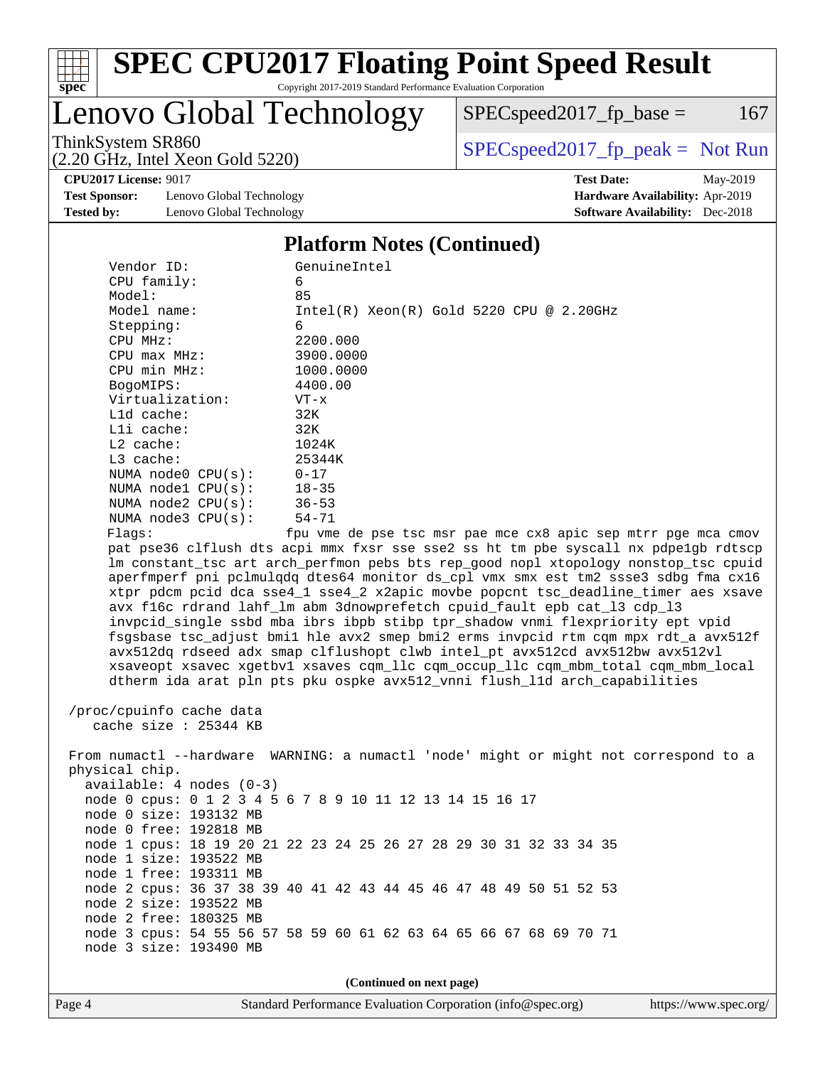

Lenovo Global Technology

 $SPEC speed2017_fp\_base = 167$ 

(2.20 GHz, Intel Xeon Gold 5220)

ThinkSystem SR860<br>  $(2.20 \text{ GHz. Intel Yoon Gold } 5220)$  [SPECspeed2017\\_fp\\_peak =](http://www.spec.org/auto/cpu2017/Docs/result-fields.html#SPECspeed2017fppeak) Not Run

**[CPU2017 License:](http://www.spec.org/auto/cpu2017/Docs/result-fields.html#CPU2017License)** 9017 **[Test Date:](http://www.spec.org/auto/cpu2017/Docs/result-fields.html#TestDate)** May-2019

**[Test Sponsor:](http://www.spec.org/auto/cpu2017/Docs/result-fields.html#TestSponsor)** Lenovo Global Technology **[Hardware Availability:](http://www.spec.org/auto/cpu2017/Docs/result-fields.html#HardwareAvailability)** Apr-2019 **[Tested by:](http://www.spec.org/auto/cpu2017/Docs/result-fields.html#Testedby)** Lenovo Global Technology **[Software Availability:](http://www.spec.org/auto/cpu2017/Docs/result-fields.html#SoftwareAvailability)** Dec-2018

#### **[Platform Notes \(Continued\)](http://www.spec.org/auto/cpu2017/Docs/result-fields.html#PlatformNotes)**

| Vendor ID:               | GenuineIntel                                                                         |
|--------------------------|--------------------------------------------------------------------------------------|
| CPU family:              | 6                                                                                    |
| Model:                   | 85                                                                                   |
| Model name:              | $Intel(R)$ Xeon $(R)$ Gold 5220 CPU @ 2.20GHz                                        |
| Stepping:                | 6                                                                                    |
| CPU MHz:                 | 2200.000                                                                             |
| $CPU$ $max$ $MHz$ :      | 3900.0000                                                                            |
| CPU min MHz:             | 1000.0000                                                                            |
| BogoMIPS:                | 4400.00                                                                              |
| Virtualization:          | $VT - x$                                                                             |
| L1d cache:               | 32K                                                                                  |
| $L1i$ cache:             | 32K                                                                                  |
| $L2$ cache:              | 1024K                                                                                |
| $L3$ cache:              | 25344K                                                                               |
| NUMA node0 CPU(s):       | $0 - 17$                                                                             |
| NUMA $node1$ $CPU(s):$   | $18 - 35$                                                                            |
| NUMA $node2$ $CPU(s):$   | $36 - 53$                                                                            |
| NUMA node3 CPU(s):       | $54 - 71$                                                                            |
| Flags:                   | fpu vme de pse tsc msr pae mce cx8 apic sep mtrr pqe mca cmov                        |
|                          | pat pse36 clflush dts acpi mmx fxsr sse sse2 ss ht tm pbe syscall nx pdpelgb rdtscp  |
|                          | lm constant_tsc art arch_perfmon pebs bts rep_good nopl xtopology nonstop_tsc cpuid  |
|                          | aperfmperf pni pclmulqdq dtes64 monitor ds_cpl vmx smx est tm2 ssse3 sdbg fma cx16   |
|                          | xtpr pdcm pcid dca sse4_1 sse4_2 x2apic movbe popcnt tsc_deadline_timer aes xsave    |
|                          | avx f16c rdrand lahf_lm abm 3dnowprefetch cpuid_fault epb cat_13 cdp_13              |
|                          | invpcid_single ssbd mba ibrs ibpb stibp tpr_shadow vnmi flexpriority ept vpid        |
|                          | fsgsbase tsc_adjust bmil hle avx2 smep bmi2 erms invpcid rtm cqm mpx rdt_a avx512f   |
|                          | avx512dq rdseed adx smap clflushopt clwb intel_pt avx512cd avx512bw avx512vl         |
|                          | xsaveopt xsavec xgetbvl xsaves cqm_llc cqm_occup_llc cqm_mbm_total cqm_mbm_local     |
|                          | dtherm ida arat pln pts pku ospke avx512_vnni flush_lld arch_capabilities            |
|                          |                                                                                      |
| /proc/cpuinfo cache data |                                                                                      |
| cache size $: 25344$ KB  |                                                                                      |
|                          |                                                                                      |
|                          | From numactl --hardware WARNING: a numactl 'node' might or might not correspond to a |
| physical chip.           |                                                                                      |
| $\blacksquare$           |                                                                                      |

phy available: 4 nodes (0-3) node 0 cpus: 0 1 2 3 4 5 6 7 8 9 10 11 12 13 14 15 16 17 node 0 size: 193132 MB node 0 free: 192818 MB node 1 cpus: 18 19 20 21 22 23 24 25 26 27 28 29 30 31 32 33 34 35 node 1 size: 193522 MB node 1 free: 193311 MB node 2 cpus: 36 37 38 39 40 41 42 43 44 45 46 47 48 49 50 51 52 53 node 2 size: 193522 MB node 2 free: 180325 MB node 3 cpus: 54 55 56 57 58 59 60 61 62 63 64 65 66 67 68 69 70 71 node 3 size: 193490 MB

**(Continued on next page)**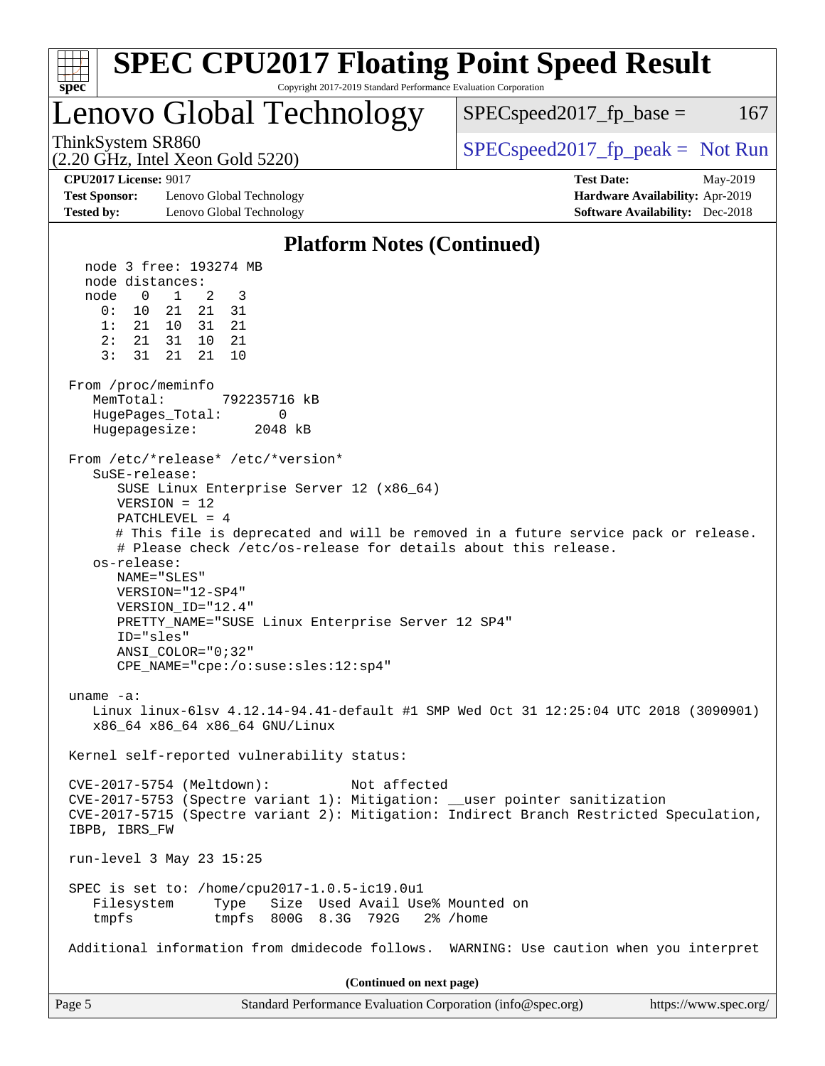| ĦТ<br>spec <sup>®</sup>                                                                                                                                                                                   | <b>SPEC CPU2017 Floating Point Speed Result</b><br>Copyright 2017-2019 Standard Performance Evaluation Corporation                                                                                                                                                                                                                                                                                                                                                                                                                                                                                                                                                                                                                                                                                                                                                                                                                                                                                                                                                          |                                        |          |
|-----------------------------------------------------------------------------------------------------------------------------------------------------------------------------------------------------------|-----------------------------------------------------------------------------------------------------------------------------------------------------------------------------------------------------------------------------------------------------------------------------------------------------------------------------------------------------------------------------------------------------------------------------------------------------------------------------------------------------------------------------------------------------------------------------------------------------------------------------------------------------------------------------------------------------------------------------------------------------------------------------------------------------------------------------------------------------------------------------------------------------------------------------------------------------------------------------------------------------------------------------------------------------------------------------|----------------------------------------|----------|
|                                                                                                                                                                                                           | Lenovo Global Technology                                                                                                                                                                                                                                                                                                                                                                                                                                                                                                                                                                                                                                                                                                                                                                                                                                                                                                                                                                                                                                                    | $SPEC speed2017fp base =$              | 167      |
| ThinkSystem SR860                                                                                                                                                                                         | (2.20 GHz, Intel Xeon Gold 5220)                                                                                                                                                                                                                                                                                                                                                                                                                                                                                                                                                                                                                                                                                                                                                                                                                                                                                                                                                                                                                                            | $SPEC speed2017fr peak = Not Run$      |          |
| <b>CPU2017 License: 9017</b>                                                                                                                                                                              |                                                                                                                                                                                                                                                                                                                                                                                                                                                                                                                                                                                                                                                                                                                                                                                                                                                                                                                                                                                                                                                                             | <b>Test Date:</b>                      | May-2019 |
| <b>Test Sponsor:</b>                                                                                                                                                                                      | Lenovo Global Technology                                                                                                                                                                                                                                                                                                                                                                                                                                                                                                                                                                                                                                                                                                                                                                                                                                                                                                                                                                                                                                                    | Hardware Availability: Apr-2019        |          |
| <b>Tested by:</b>                                                                                                                                                                                         | Lenovo Global Technology                                                                                                                                                                                                                                                                                                                                                                                                                                                                                                                                                                                                                                                                                                                                                                                                                                                                                                                                                                                                                                                    | <b>Software Availability:</b> Dec-2018 |          |
|                                                                                                                                                                                                           | <b>Platform Notes (Continued)</b>                                                                                                                                                                                                                                                                                                                                                                                                                                                                                                                                                                                                                                                                                                                                                                                                                                                                                                                                                                                                                                           |                                        |          |
| node distances:<br>node<br>$\overline{0}$<br>0:<br>1:<br>2:<br>3:<br>31<br>From /proc/meminfo<br>MemTotal:<br>Hugepagesize:<br>SuSE-release:<br>os-release:<br>ID="sles"<br>uname $-a$ :<br>IBPB, IBRS_FW | node 3 free: 193274 MB<br>$\mathbf{1}$<br>3<br>2<br>10 21<br>21<br>31<br>21 10<br>31<br>21<br>21 31<br>10<br>21<br>21<br>21<br>10<br>792235716 kB<br>HugePages_Total:<br>0<br>2048 kB<br>From /etc/*release* /etc/*version*<br>SUSE Linux Enterprise Server 12 (x86_64)<br>$VERSION = 12$<br>PATCHLEVEL = 4<br># This file is deprecated and will be removed in a future service pack or release.<br># Please check /etc/os-release for details about this release.<br>NAME="SLES"<br>VERSION="12-SP4"<br>VERSION ID="12.4"<br>PRETTY_NAME="SUSE Linux Enterprise Server 12 SP4"<br>$ANSI$ _COLOR=" $0:32$ "<br>CPE_NAME="cpe:/o:suse:sles:12:sp4"<br>Linux linux-61sv 4.12.14-94.41-default #1 SMP Wed Oct 31 12:25:04 UTC 2018 (3090901)<br>x86_64 x86_64 x86_64 GNU/Linux<br>Kernel self-reported vulnerability status:<br>CVE-2017-5754 (Meltdown):<br>Not affected<br>CVE-2017-5753 (Spectre variant 1): Mitigation: __user pointer sanitization<br>CVE-2017-5715 (Spectre variant 2): Mitigation: Indirect Branch Restricted Speculation,<br>run-level 3 May 23 15:25 |                                        |          |
| Filesystem<br>tmpfs                                                                                                                                                                                       | SPEC is set to: /home/cpu2017-1.0.5-ic19.0u1<br>Size Used Avail Use% Mounted on<br>Type<br>tmpfs 800G 8.3G 792G<br>Additional information from dmidecode follows. WARNING: Use caution when you interpret                                                                                                                                                                                                                                                                                                                                                                                                                                                                                                                                                                                                                                                                                                                                                                                                                                                                   | $2\%$ /home                            |          |
|                                                                                                                                                                                                           |                                                                                                                                                                                                                                                                                                                                                                                                                                                                                                                                                                                                                                                                                                                                                                                                                                                                                                                                                                                                                                                                             |                                        |          |
|                                                                                                                                                                                                           | (Continued on next page)                                                                                                                                                                                                                                                                                                                                                                                                                                                                                                                                                                                                                                                                                                                                                                                                                                                                                                                                                                                                                                                    |                                        |          |
| Page 5                                                                                                                                                                                                    | Standard Performance Evaluation Corporation (info@spec.org)                                                                                                                                                                                                                                                                                                                                                                                                                                                                                                                                                                                                                                                                                                                                                                                                                                                                                                                                                                                                                 | https://www.spec.org/                  |          |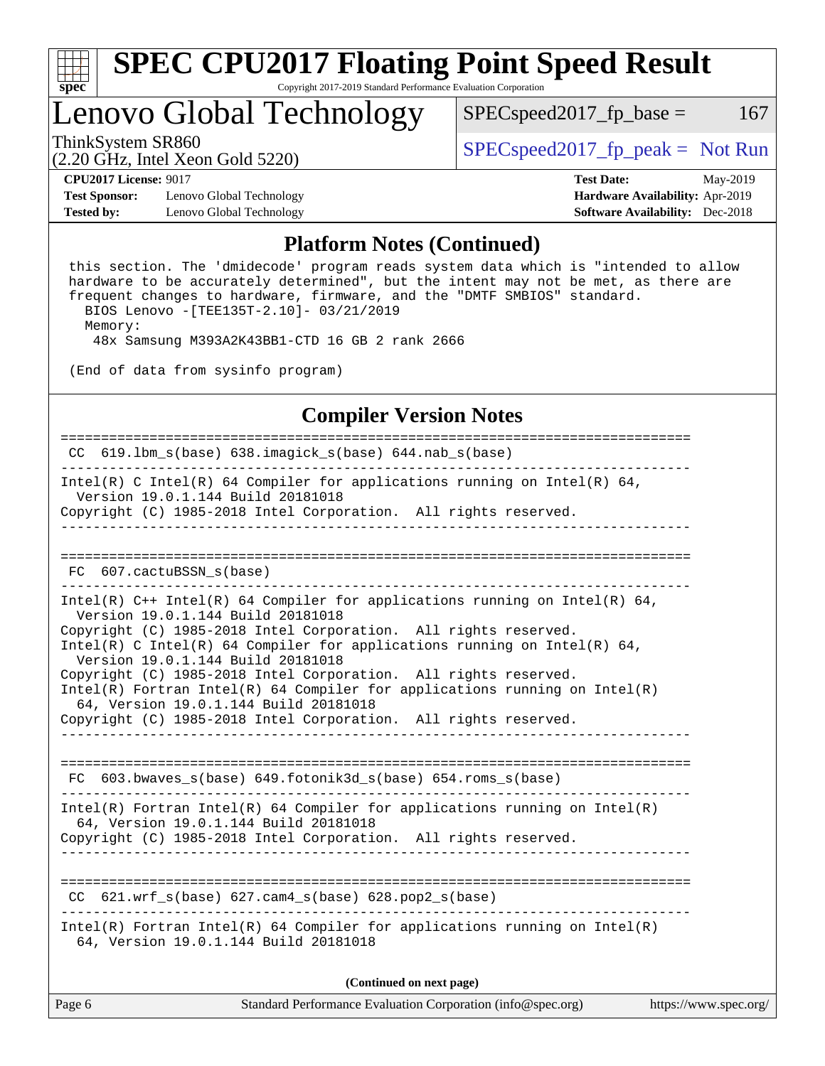

# Lenovo Global Technology

ThinkSystem SR860<br>  $SPEC speed2017$  [p\_peak = Not Run

 $SPEC speed2017_fp\_base = 167$ 

(2.20 GHz, Intel Xeon Gold 5220)

**[Test Sponsor:](http://www.spec.org/auto/cpu2017/Docs/result-fields.html#TestSponsor)** Lenovo Global Technology **[Hardware Availability:](http://www.spec.org/auto/cpu2017/Docs/result-fields.html#HardwareAvailability)** Apr-2019 **[Tested by:](http://www.spec.org/auto/cpu2017/Docs/result-fields.html#Testedby)** Lenovo Global Technology **[Software Availability:](http://www.spec.org/auto/cpu2017/Docs/result-fields.html#SoftwareAvailability)** Dec-2018

**[CPU2017 License:](http://www.spec.org/auto/cpu2017/Docs/result-fields.html#CPU2017License)** 9017 **[Test Date:](http://www.spec.org/auto/cpu2017/Docs/result-fields.html#TestDate)** May-2019

### **[Platform Notes \(Continued\)](http://www.spec.org/auto/cpu2017/Docs/result-fields.html#PlatformNotes)**

 this section. The 'dmidecode' program reads system data which is "intended to allow hardware to be accurately determined", but the intent may not be met, as there are frequent changes to hardware, firmware, and the "DMTF SMBIOS" standard. BIOS Lenovo -[TEE135T-2.10]- 03/21/2019

Memory:

48x Samsung M393A2K43BB1-CTD 16 GB 2 rank 2666

(End of data from sysinfo program)

## **[Compiler Version Notes](http://www.spec.org/auto/cpu2017/Docs/result-fields.html#CompilerVersionNotes)**

============================================================================== CC  $619.1$ bm s(base)  $638.$ imagick s(base) 644.nab s(base) ------------------------------------------------------------------------------ Intel(R) C Intel(R) 64 Compiler for applications running on Intel(R) 64, Version 19.0.1.144 Build 20181018 Copyright (C) 1985-2018 Intel Corporation. All rights reserved. ------------------------------------------------------------------------------ ============================================================================== FC 607.cactuBSSN\_s(base) ------------------------------------------------------------------------------ Intel(R) C++ Intel(R) 64 Compiler for applications running on Intel(R) 64, Version 19.0.1.144 Build 20181018 Copyright (C) 1985-2018 Intel Corporation. All rights reserved. Intel(R) C Intel(R) 64 Compiler for applications running on Intel(R)  $64$ , Version 19.0.1.144 Build 20181018 Copyright (C) 1985-2018 Intel Corporation. All rights reserved. Intel(R) Fortran Intel(R) 64 Compiler for applications running on Intel(R) 64, Version 19.0.1.144 Build 20181018 Copyright (C) 1985-2018 Intel Corporation. All rights reserved. ------------------------------------------------------------------------------ ============================================================================== FC 603.bwaves\_s(base) 649.fotonik3d\_s(base) 654.roms\_s(base) ------------------------------------------------------------------------------ Intel(R) Fortran Intel(R) 64 Compiler for applications running on Intel(R) 64, Version 19.0.1.144 Build 20181018 Copyright (C) 1985-2018 Intel Corporation. All rights reserved. ------------------------------------------------------------------------------ ============================================================================== CC  $621.wrf$  s(base)  $627.cam4$  s(base) 628.pop2 s(base) ------------------------------------------------------------------------------ Intel(R) Fortran Intel(R) 64 Compiler for applications running on Intel(R) 64, Version 19.0.1.144 Build 20181018

**(Continued on next page)**

| Page 6<br>Standard Performance Evaluation Corporation (info@spec.org)<br>https://www.spec.org/ |
|------------------------------------------------------------------------------------------------|
|------------------------------------------------------------------------------------------------|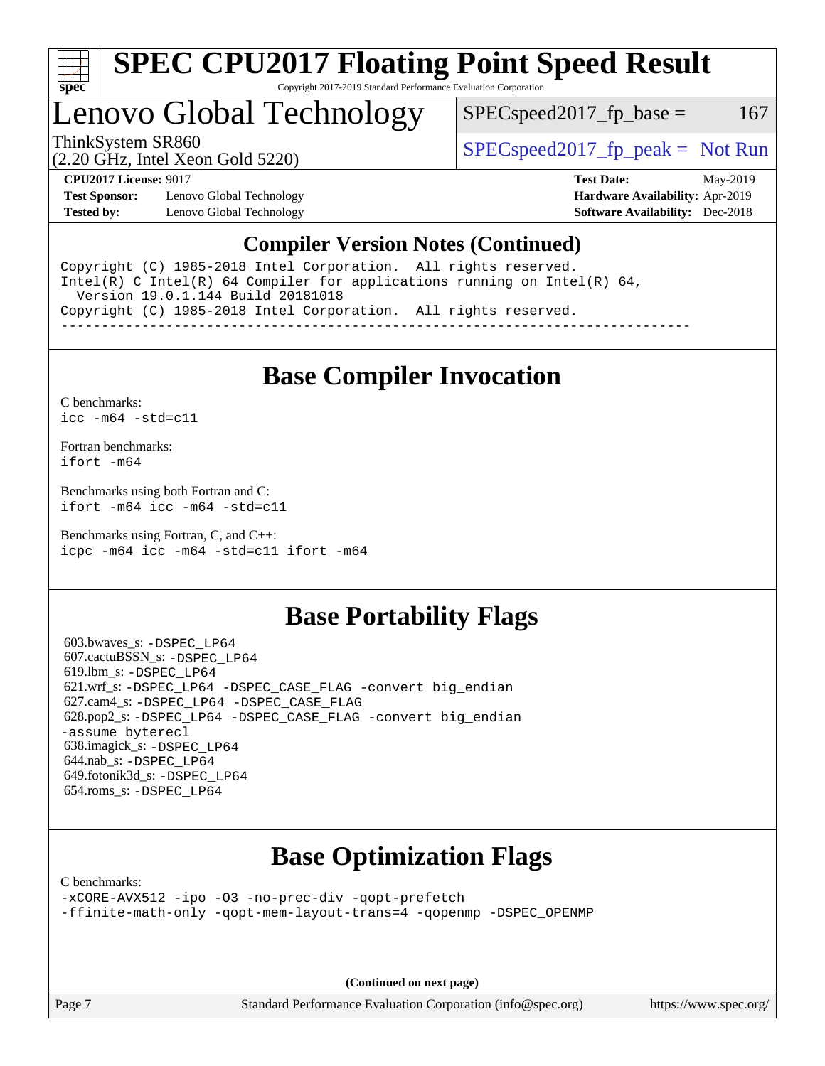

# Lenovo Global Technology

 $SPEC speed2017<sub>fr</sub> base = 167$ 

(2.20 GHz, Intel Xeon Gold 5220)

ThinkSystem SR860<br>  $SPEC speed2017<sub>rfp</sub> peak = Not Run$ 

**[Test Sponsor:](http://www.spec.org/auto/cpu2017/Docs/result-fields.html#TestSponsor)** Lenovo Global Technology **[Hardware Availability:](http://www.spec.org/auto/cpu2017/Docs/result-fields.html#HardwareAvailability)** Apr-2019 **[Tested by:](http://www.spec.org/auto/cpu2017/Docs/result-fields.html#Testedby)** Lenovo Global Technology **[Software Availability:](http://www.spec.org/auto/cpu2017/Docs/result-fields.html#SoftwareAvailability)** Dec-2018

**[CPU2017 License:](http://www.spec.org/auto/cpu2017/Docs/result-fields.html#CPU2017License)** 9017 **[Test Date:](http://www.spec.org/auto/cpu2017/Docs/result-fields.html#TestDate)** May-2019

## **[Compiler Version Notes \(Continued\)](http://www.spec.org/auto/cpu2017/Docs/result-fields.html#CompilerVersionNotes)**

Copyright (C) 1985-2018 Intel Corporation. All rights reserved. Intel(R) C Intel(R) 64 Compiler for applications running on Intel(R)  $64$ , Version 19.0.1.144 Build 20181018 Copyright (C) 1985-2018 Intel Corporation. All rights reserved. ------------------------------------------------------------------------------

# **[Base Compiler Invocation](http://www.spec.org/auto/cpu2017/Docs/result-fields.html#BaseCompilerInvocation)**

[C benchmarks](http://www.spec.org/auto/cpu2017/Docs/result-fields.html#Cbenchmarks): [icc -m64 -std=c11](http://www.spec.org/cpu2017/results/res2019q3/cpu2017-20190625-15637.flags.html#user_CCbase_intel_icc_64bit_c11_33ee0cdaae7deeeab2a9725423ba97205ce30f63b9926c2519791662299b76a0318f32ddfffdc46587804de3178b4f9328c46fa7c2b0cd779d7a61945c91cd35)

[Fortran benchmarks](http://www.spec.org/auto/cpu2017/Docs/result-fields.html#Fortranbenchmarks): [ifort -m64](http://www.spec.org/cpu2017/results/res2019q3/cpu2017-20190625-15637.flags.html#user_FCbase_intel_ifort_64bit_24f2bb282fbaeffd6157abe4f878425411749daecae9a33200eee2bee2fe76f3b89351d69a8130dd5949958ce389cf37ff59a95e7a40d588e8d3a57e0c3fd751)

[Benchmarks using both Fortran and C](http://www.spec.org/auto/cpu2017/Docs/result-fields.html#BenchmarksusingbothFortranandC): [ifort -m64](http://www.spec.org/cpu2017/results/res2019q3/cpu2017-20190625-15637.flags.html#user_CC_FCbase_intel_ifort_64bit_24f2bb282fbaeffd6157abe4f878425411749daecae9a33200eee2bee2fe76f3b89351d69a8130dd5949958ce389cf37ff59a95e7a40d588e8d3a57e0c3fd751) [icc -m64 -std=c11](http://www.spec.org/cpu2017/results/res2019q3/cpu2017-20190625-15637.flags.html#user_CC_FCbase_intel_icc_64bit_c11_33ee0cdaae7deeeab2a9725423ba97205ce30f63b9926c2519791662299b76a0318f32ddfffdc46587804de3178b4f9328c46fa7c2b0cd779d7a61945c91cd35)

[Benchmarks using Fortran, C, and C++:](http://www.spec.org/auto/cpu2017/Docs/result-fields.html#BenchmarksusingFortranCandCXX) [icpc -m64](http://www.spec.org/cpu2017/results/res2019q3/cpu2017-20190625-15637.flags.html#user_CC_CXX_FCbase_intel_icpc_64bit_4ecb2543ae3f1412ef961e0650ca070fec7b7afdcd6ed48761b84423119d1bf6bdf5cad15b44d48e7256388bc77273b966e5eb805aefd121eb22e9299b2ec9d9) [icc -m64 -std=c11](http://www.spec.org/cpu2017/results/res2019q3/cpu2017-20190625-15637.flags.html#user_CC_CXX_FCbase_intel_icc_64bit_c11_33ee0cdaae7deeeab2a9725423ba97205ce30f63b9926c2519791662299b76a0318f32ddfffdc46587804de3178b4f9328c46fa7c2b0cd779d7a61945c91cd35) [ifort -m64](http://www.spec.org/cpu2017/results/res2019q3/cpu2017-20190625-15637.flags.html#user_CC_CXX_FCbase_intel_ifort_64bit_24f2bb282fbaeffd6157abe4f878425411749daecae9a33200eee2bee2fe76f3b89351d69a8130dd5949958ce389cf37ff59a95e7a40d588e8d3a57e0c3fd751)

# **[Base Portability Flags](http://www.spec.org/auto/cpu2017/Docs/result-fields.html#BasePortabilityFlags)**

 603.bwaves\_s: [-DSPEC\\_LP64](http://www.spec.org/cpu2017/results/res2019q3/cpu2017-20190625-15637.flags.html#suite_basePORTABILITY603_bwaves_s_DSPEC_LP64) 607.cactuBSSN\_s: [-DSPEC\\_LP64](http://www.spec.org/cpu2017/results/res2019q3/cpu2017-20190625-15637.flags.html#suite_basePORTABILITY607_cactuBSSN_s_DSPEC_LP64) 619.lbm\_s: [-DSPEC\\_LP64](http://www.spec.org/cpu2017/results/res2019q3/cpu2017-20190625-15637.flags.html#suite_basePORTABILITY619_lbm_s_DSPEC_LP64) 621.wrf\_s: [-DSPEC\\_LP64](http://www.spec.org/cpu2017/results/res2019q3/cpu2017-20190625-15637.flags.html#suite_basePORTABILITY621_wrf_s_DSPEC_LP64) [-DSPEC\\_CASE\\_FLAG](http://www.spec.org/cpu2017/results/res2019q3/cpu2017-20190625-15637.flags.html#b621.wrf_s_baseCPORTABILITY_DSPEC_CASE_FLAG) [-convert big\\_endian](http://www.spec.org/cpu2017/results/res2019q3/cpu2017-20190625-15637.flags.html#user_baseFPORTABILITY621_wrf_s_convert_big_endian_c3194028bc08c63ac5d04de18c48ce6d347e4e562e8892b8bdbdc0214820426deb8554edfa529a3fb25a586e65a3d812c835984020483e7e73212c4d31a38223) 627.cam4\_s: [-DSPEC\\_LP64](http://www.spec.org/cpu2017/results/res2019q3/cpu2017-20190625-15637.flags.html#suite_basePORTABILITY627_cam4_s_DSPEC_LP64) [-DSPEC\\_CASE\\_FLAG](http://www.spec.org/cpu2017/results/res2019q3/cpu2017-20190625-15637.flags.html#b627.cam4_s_baseCPORTABILITY_DSPEC_CASE_FLAG) 628.pop2\_s: [-DSPEC\\_LP64](http://www.spec.org/cpu2017/results/res2019q3/cpu2017-20190625-15637.flags.html#suite_basePORTABILITY628_pop2_s_DSPEC_LP64) [-DSPEC\\_CASE\\_FLAG](http://www.spec.org/cpu2017/results/res2019q3/cpu2017-20190625-15637.flags.html#b628.pop2_s_baseCPORTABILITY_DSPEC_CASE_FLAG) [-convert big\\_endian](http://www.spec.org/cpu2017/results/res2019q3/cpu2017-20190625-15637.flags.html#user_baseFPORTABILITY628_pop2_s_convert_big_endian_c3194028bc08c63ac5d04de18c48ce6d347e4e562e8892b8bdbdc0214820426deb8554edfa529a3fb25a586e65a3d812c835984020483e7e73212c4d31a38223) [-assume byterecl](http://www.spec.org/cpu2017/results/res2019q3/cpu2017-20190625-15637.flags.html#user_baseFPORTABILITY628_pop2_s_assume_byterecl_7e47d18b9513cf18525430bbf0f2177aa9bf368bc7a059c09b2c06a34b53bd3447c950d3f8d6c70e3faf3a05c8557d66a5798b567902e8849adc142926523472) 638.imagick\_s: [-DSPEC\\_LP64](http://www.spec.org/cpu2017/results/res2019q3/cpu2017-20190625-15637.flags.html#suite_basePORTABILITY638_imagick_s_DSPEC_LP64) 644.nab\_s: [-DSPEC\\_LP64](http://www.spec.org/cpu2017/results/res2019q3/cpu2017-20190625-15637.flags.html#suite_basePORTABILITY644_nab_s_DSPEC_LP64) 649.fotonik3d\_s: [-DSPEC\\_LP64](http://www.spec.org/cpu2017/results/res2019q3/cpu2017-20190625-15637.flags.html#suite_basePORTABILITY649_fotonik3d_s_DSPEC_LP64) 654.roms\_s: [-DSPEC\\_LP64](http://www.spec.org/cpu2017/results/res2019q3/cpu2017-20190625-15637.flags.html#suite_basePORTABILITY654_roms_s_DSPEC_LP64)

# **[Base Optimization Flags](http://www.spec.org/auto/cpu2017/Docs/result-fields.html#BaseOptimizationFlags)**

[C benchmarks](http://www.spec.org/auto/cpu2017/Docs/result-fields.html#Cbenchmarks):

[-xCORE-AVX512](http://www.spec.org/cpu2017/results/res2019q3/cpu2017-20190625-15637.flags.html#user_CCbase_f-xCORE-AVX512) [-ipo](http://www.spec.org/cpu2017/results/res2019q3/cpu2017-20190625-15637.flags.html#user_CCbase_f-ipo) [-O3](http://www.spec.org/cpu2017/results/res2019q3/cpu2017-20190625-15637.flags.html#user_CCbase_f-O3) [-no-prec-div](http://www.spec.org/cpu2017/results/res2019q3/cpu2017-20190625-15637.flags.html#user_CCbase_f-no-prec-div) [-qopt-prefetch](http://www.spec.org/cpu2017/results/res2019q3/cpu2017-20190625-15637.flags.html#user_CCbase_f-qopt-prefetch) [-ffinite-math-only](http://www.spec.org/cpu2017/results/res2019q3/cpu2017-20190625-15637.flags.html#user_CCbase_f_finite_math_only_cb91587bd2077682c4b38af759c288ed7c732db004271a9512da14a4f8007909a5f1427ecbf1a0fb78ff2a814402c6114ac565ca162485bbcae155b5e4258871) [-qopt-mem-layout-trans=4](http://www.spec.org/cpu2017/results/res2019q3/cpu2017-20190625-15637.flags.html#user_CCbase_f-qopt-mem-layout-trans_fa39e755916c150a61361b7846f310bcdf6f04e385ef281cadf3647acec3f0ae266d1a1d22d972a7087a248fd4e6ca390a3634700869573d231a252c784941a8) [-qopenmp](http://www.spec.org/cpu2017/results/res2019q3/cpu2017-20190625-15637.flags.html#user_CCbase_qopenmp_16be0c44f24f464004c6784a7acb94aca937f053568ce72f94b139a11c7c168634a55f6653758ddd83bcf7b8463e8028bb0b48b77bcddc6b78d5d95bb1df2967) [-DSPEC\\_OPENMP](http://www.spec.org/cpu2017/results/res2019q3/cpu2017-20190625-15637.flags.html#suite_CCbase_DSPEC_OPENMP)

**(Continued on next page)**

Page 7 Standard Performance Evaluation Corporation [\(info@spec.org\)](mailto:info@spec.org) <https://www.spec.org/>